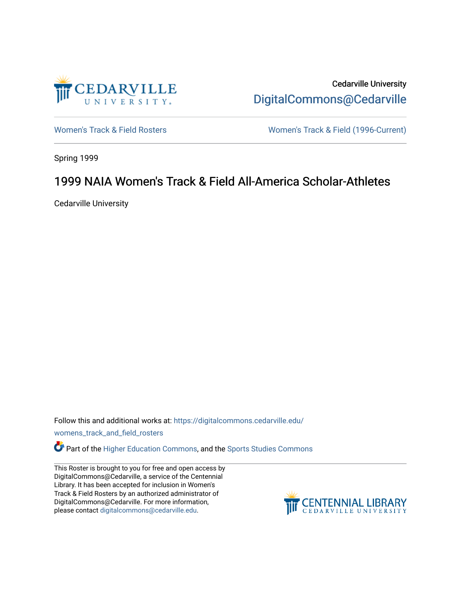

Cedarville University [DigitalCommons@Cedarville](https://digitalcommons.cedarville.edu/) 

[Women's Track & Field Rosters](https://digitalcommons.cedarville.edu/womens_track_and_field_rosters) Women's Track & Field (1996-Current)

Spring 1999

## 1999 NAIA Women's Track & Field All-America Scholar-Athletes

Cedarville University

Follow this and additional works at: [https://digitalcommons.cedarville.edu/](https://digitalcommons.cedarville.edu/womens_track_and_field_rosters?utm_source=digitalcommons.cedarville.edu%2Fwomens_track_and_field_rosters%2F23&utm_medium=PDF&utm_campaign=PDFCoverPages)

[womens\\_track\\_and\\_field\\_rosters](https://digitalcommons.cedarville.edu/womens_track_and_field_rosters?utm_source=digitalcommons.cedarville.edu%2Fwomens_track_and_field_rosters%2F23&utm_medium=PDF&utm_campaign=PDFCoverPages) 

**C** Part of the [Higher Education Commons,](http://network.bepress.com/hgg/discipline/1245?utm_source=digitalcommons.cedarville.edu%2Fwomens_track_and_field_rosters%2F23&utm_medium=PDF&utm_campaign=PDFCoverPages) and the Sports Studies Commons

This Roster is brought to you for free and open access by DigitalCommons@Cedarville, a service of the Centennial Library. It has been accepted for inclusion in Women's Track & Field Rosters by an authorized administrator of DigitalCommons@Cedarville. For more information, please contact [digitalcommons@cedarville.edu](mailto:digitalcommons@cedarville.edu).

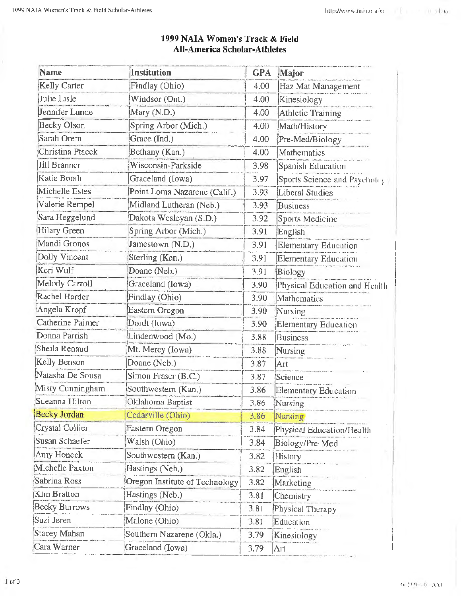| <b>Name</b>          | <b>Institution</b>             | <b>GPA</b> | Major                         |
|----------------------|--------------------------------|------------|-------------------------------|
| Kelly Carter         | Findlay (Ohio)                 | 4.00       | Haz Mat Management            |
| Julie Lisle          | Windsor (Ont.)                 | 4.00       | Kinesiology                   |
| Jennifer Lunde       | Mary (N.D.)                    | 4.00       | <b>Athletic Training</b>      |
| <b>Becky Olson</b>   | Spring Arbor (Mich.)           | 4.00       | Math/History                  |
| Sarah Orem           | Grace (Ind.)                   | 4.00       | Pre-Med/Biology               |
| Christina Ptacek     | Bethany (Kan.)                 | 4.00       | Mathematics                   |
| Jill Branner         | Wisconsin-Parkside             | 3.98       | Spanish Education             |
| Katie Booth          | Graceland (Iowa)               | 3.97       | Sports Science and Psycholog  |
| Michelle Estes       | Point Loma Nazarene (Calif.)   | 3.93       | <b>Liberal Studies</b>        |
| Valerie Rempel       | Midland Lutheran (Neb.)        | 3.93       | <b>Business</b>               |
| Sara Heggelund       | Dakota Wesleyan (S.D.)         | 3.92       | Sports Medicine               |
| Hilary Green         | Spring Arbor (Mich.)           | 3.91       | English                       |
| Mandi Gronos         | Jamestown (N.D.)               | 3.91       | Elementary Education          |
| Dolly Vincent        | Sterling (Kan.)                | 3.91       | Elementary Education          |
| Keri Wulf            | Doane (Neb.)                   | 3.91       | Biology                       |
| Melody Carroll       | Graceland (Iowa)               | 3.90       | Physical Education and Health |
| Rachel Harder        | Findlay (Ohio)                 | 3.90       | Mathematics                   |
| Angela Kropf         | Eastern Oregon                 | 3.90       | Nursing                       |
| Catherine Palmer     | Dordt (Iowa)                   | 3.90       | Elementary Education          |
| Donna Parrish        | Lindenwood (Mo.)               | 3.88       | <b>Business</b>               |
| Sheila Renaud        | Mt. Mercy (Iowa)               | 3.88       | Nursing                       |
| Kelly Benson         | Doane (Neb.)                   | 3.87       | Art                           |
| Natasha De Sousa     | Simon Fraser (B.C.)            | 3.87       | Science                       |
| Misty Cunningham     | Southwestern (Kan.)            | 3.86       | Elementary Education          |
| Sueanna Hilton       | Oklahoma Baptist               | 3.86       | Nursing                       |
| <b>Becky Jordan</b>  | Cedarville (Ohio)              | 3.86       | Nursing                       |
| Crystal Collier      | Eastern Oregon                 | 3.84       | Physical Education/Health     |
| Susan Schaefer       | Walsh (Ohio)                   | 3.84       | Biology/Pre-Med               |
| Amy Honeck           | Southwestern (Kan.)            | 3.82       | History                       |
| Michelle Paxton      | Hastings (Neb.)                | 3.82       | English                       |
| Sabrina Ross         | Oregon Institute of Technology | 3.82       | Marketing                     |
| <b>Kim Bratton</b>   | Hastings (Neb.)                | 3.81       | Chemistry                     |
| <b>Becky Burrows</b> | Findlay (Ohio)                 | 3.81       | Physical Therapy              |
| Suzi Jeren           | Malone (Ohio)                  | 3.81       | Education                     |
| Stacey Mahan         | Southern Nazarene (Okla.)      | 3.79       | Kinesiology                   |
| Cara Warner          | Graceland (Iowa)               | 3.79       | Art                           |

## 1999 NAIA Women's Track & Field **All-America Scholar-Athletes**